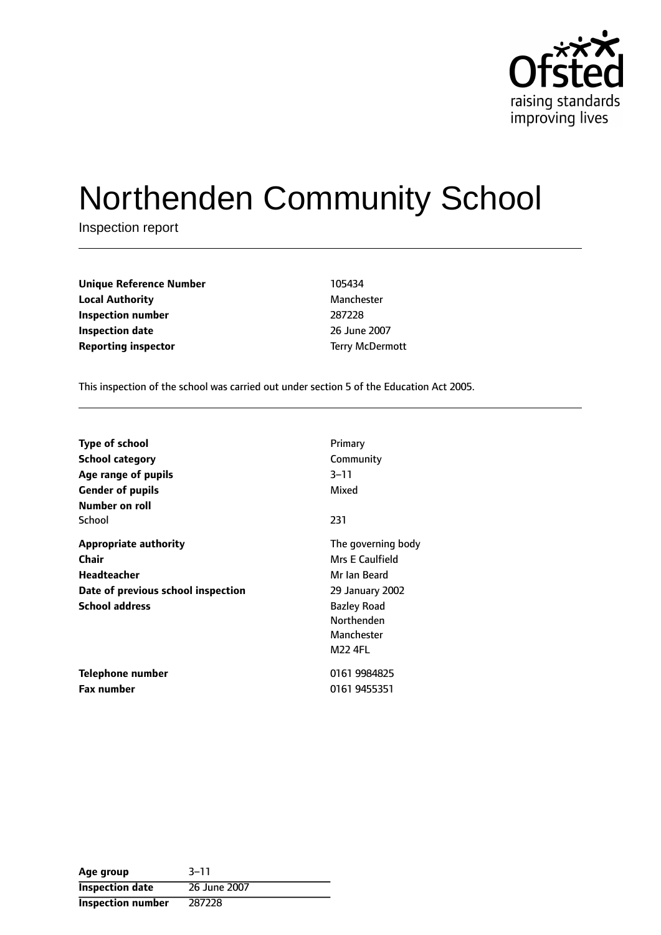

# Northenden Community School

Inspection report

| <b>Unique Reference Number</b> | 105434                 |
|--------------------------------|------------------------|
| <b>Local Authority</b>         | Manchester             |
| Inspection number              | 287228                 |
| <b>Inspection date</b>         | 26 June 2007           |
| <b>Reporting inspector</b>     | <b>Terry McDermott</b> |

This inspection of the school was carried out under section 5 of the Education Act 2005.

| <b>Type of school</b>              | Primary            |
|------------------------------------|--------------------|
| School category                    | Community          |
| Age range of pupils                | $3 - 11$           |
| <b>Gender of pupils</b>            | Mixed              |
| Number on roll                     |                    |
| School                             | 231                |
| <b>Appropriate authority</b>       | The governing body |
| Chair                              | Mrs E Caulfield    |
| <b>Headteacher</b>                 | Mr Ian Beard       |
| Date of previous school inspection | 29 January 2002    |
| <b>School address</b>              | <b>Bazley Road</b> |
|                                    | Northenden         |
|                                    | Manchester         |
|                                    | <b>M22 4FL</b>     |
| Telephone number                   | 0161 9984825       |
| <b>Fax number</b>                  | 0161 9455351       |

| Age group                | $3 - 11$     |
|--------------------------|--------------|
| <b>Inspection date</b>   | 26 June 2007 |
| <b>Inspection number</b> | 287228       |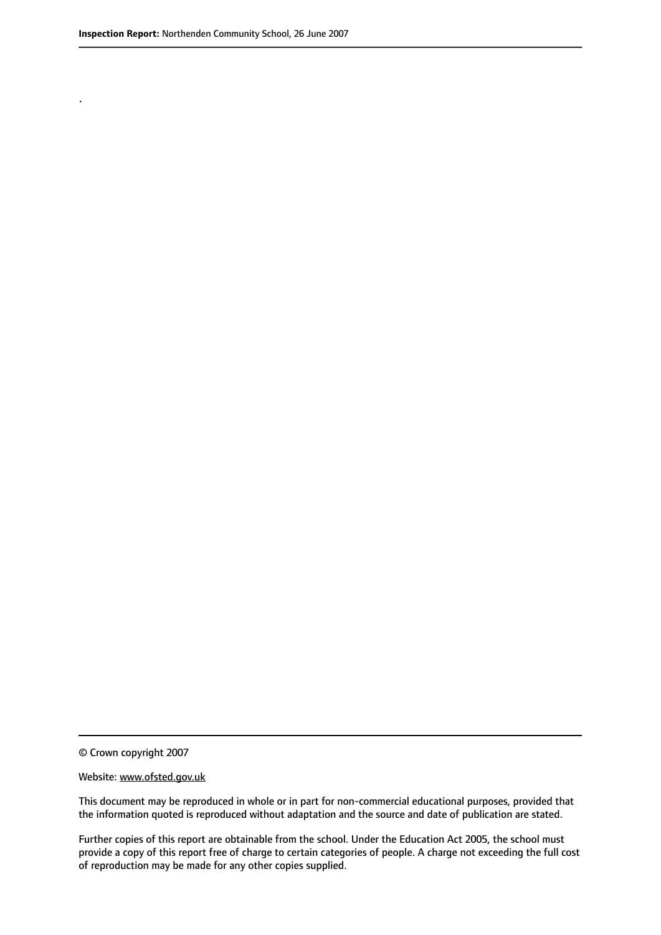.

© Crown copyright 2007

#### Website: www.ofsted.gov.uk

This document may be reproduced in whole or in part for non-commercial educational purposes, provided that the information quoted is reproduced without adaptation and the source and date of publication are stated.

Further copies of this report are obtainable from the school. Under the Education Act 2005, the school must provide a copy of this report free of charge to certain categories of people. A charge not exceeding the full cost of reproduction may be made for any other copies supplied.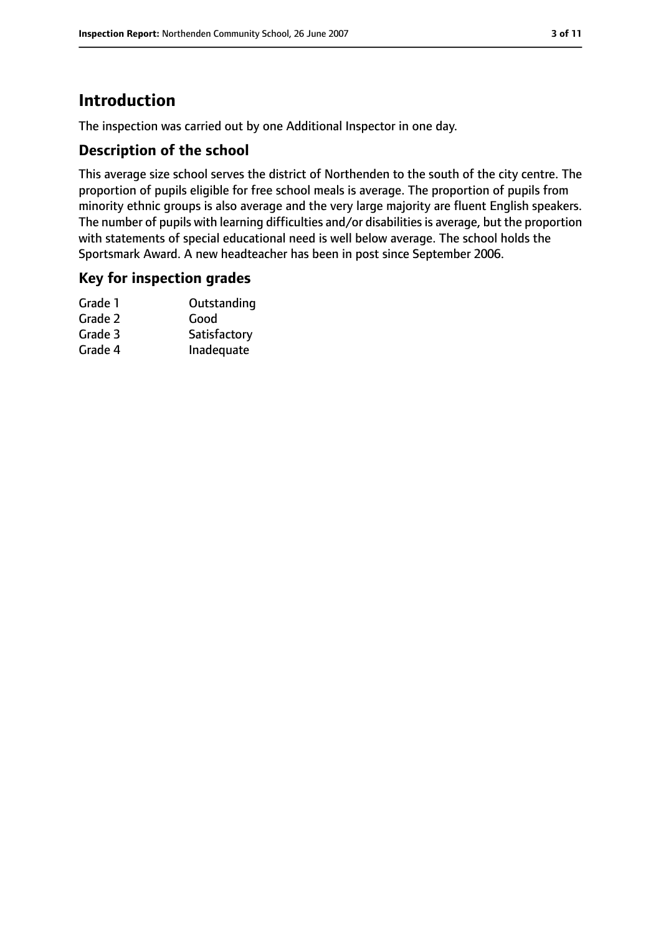## **Introduction**

The inspection was carried out by one Additional Inspector in one day.

#### **Description of the school**

This average size school serves the district of Northenden to the south of the city centre. The proportion of pupils eligible for free school meals is average. The proportion of pupils from minority ethnic groups is also average and the very large majority are fluent English speakers. The number of pupils with learning difficulties and/or disabilities is average, but the proportion with statements of special educational need is well below average. The school holds the Sportsmark Award. A new headteacher has been in post since September 2006.

#### **Key for inspection grades**

| Grade 1 | Outstanding  |
|---------|--------------|
| Grade 2 | Good         |
| Grade 3 | Satisfactory |
| Grade 4 | Inadequate   |
|         |              |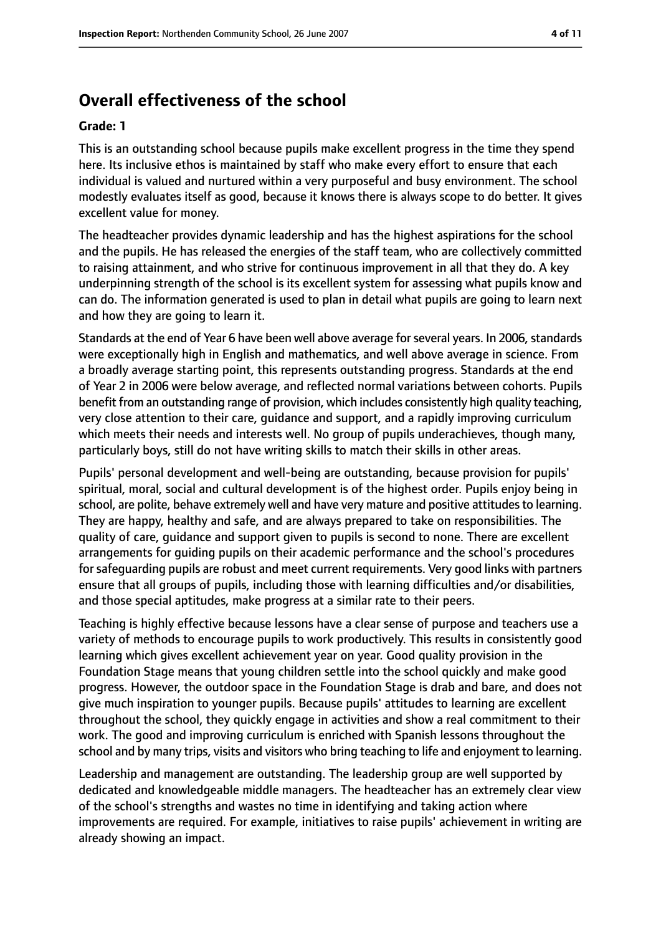# **Overall effectiveness of the school**

#### **Grade: 1**

This is an outstanding school because pupils make excellent progress in the time they spend here. Its inclusive ethos is maintained by staff who make every effort to ensure that each individual is valued and nurtured within a very purposeful and busy environment. The school modestly evaluates itself as good, because it knows there is always scope to do better. It gives excellent value for money.

The headteacher provides dynamic leadership and has the highest aspirations for the school and the pupils. He has released the energies of the staff team, who are collectively committed to raising attainment, and who strive for continuous improvement in all that they do. A key underpinning strength of the school is its excellent system for assessing what pupils know and can do. The information generated is used to plan in detail what pupils are going to learn next and how they are going to learn it.

Standards at the end of Year 6 have been well above average for several years. In 2006, standards were exceptionally high in English and mathematics, and well above average in science. From a broadly average starting point, this represents outstanding progress. Standards at the end of Year 2 in 2006 were below average, and reflected normal variations between cohorts. Pupils benefit from an outstanding range of provision, which includes consistently high quality teaching, very close attention to their care, guidance and support, and a rapidly improving curriculum which meets their needs and interests well. No group of pupils underachieves, though many, particularly boys, still do not have writing skills to match their skills in other areas.

Pupils' personal development and well-being are outstanding, because provision for pupils' spiritual, moral, social and cultural development is of the highest order. Pupils enjoy being in school, are polite, behave extremely well and have very mature and positive attitudes to learning. They are happy, healthy and safe, and are always prepared to take on responsibilities. The quality of care, guidance and support given to pupils is second to none. There are excellent arrangements for guiding pupils on their academic performance and the school's procedures for safequarding pupils are robust and meet current requirements. Very good links with partners ensure that all groups of pupils, including those with learning difficulties and/or disabilities, and those special aptitudes, make progress at a similar rate to their peers.

Teaching is highly effective because lessons have a clear sense of purpose and teachers use a variety of methods to encourage pupils to work productively. This results in consistently good learning which gives excellent achievement year on year. Good quality provision in the Foundation Stage means that young children settle into the school quickly and make good progress. However, the outdoor space in the Foundation Stage is drab and bare, and does not give much inspiration to younger pupils. Because pupils' attitudes to learning are excellent throughout the school, they quickly engage in activities and show a real commitment to their work. The good and improving curriculum is enriched with Spanish lessons throughout the school and by many trips, visits and visitors who bring teaching to life and enjoyment to learning.

Leadership and management are outstanding. The leadership group are well supported by dedicated and knowledgeable middle managers. The headteacher has an extremely clear view of the school's strengths and wastes no time in identifying and taking action where improvements are required. For example, initiatives to raise pupils' achievement in writing are already showing an impact.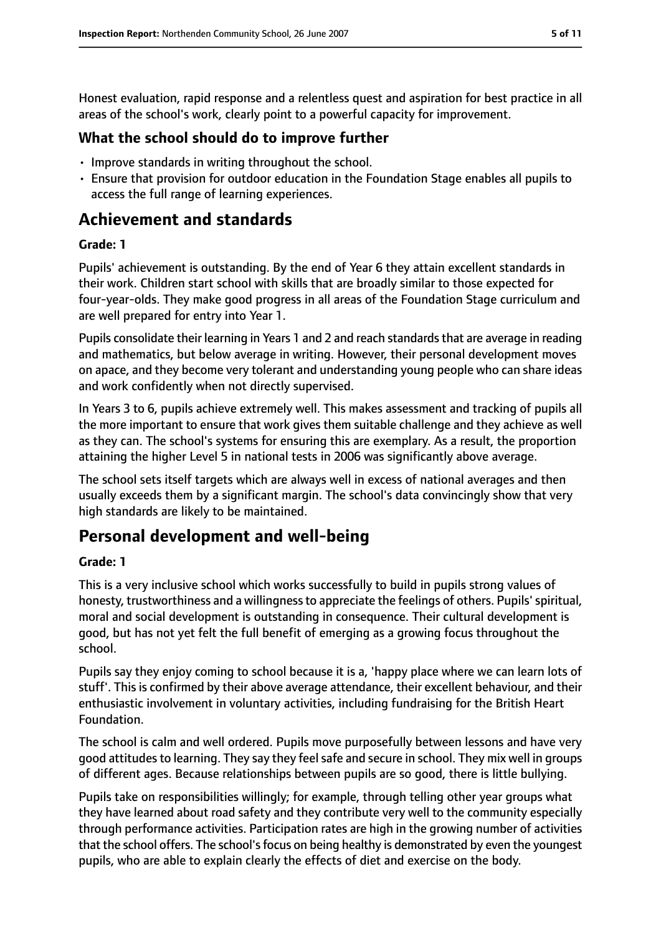Honest evaluation, rapid response and a relentless quest and aspiration for best practice in all areas of the school's work, clearly point to a powerful capacity for improvement.

#### **What the school should do to improve further**

- Improve standards in writing throughout the school.
- Ensure that provision for outdoor education in the Foundation Stage enables all pupils to access the full range of learning experiences.

## **Achievement and standards**

#### **Grade: 1**

Pupils' achievement is outstanding. By the end of Year 6 they attain excellent standards in their work. Children start school with skills that are broadly similar to those expected for four-year-olds. They make good progress in all areas of the Foundation Stage curriculum and are well prepared for entry into Year 1.

Pupils consolidate their learning in Years 1 and 2 and reach standards that are average in reading and mathematics, but below average in writing. However, their personal development moves on apace, and they become very tolerant and understanding young people who can share ideas and work confidently when not directly supervised.

In Years 3 to 6, pupils achieve extremely well. This makes assessment and tracking of pupils all the more important to ensure that work gives them suitable challenge and they achieve as well as they can. The school's systems for ensuring this are exemplary. As a result, the proportion attaining the higher Level 5 in national tests in 2006 was significantly above average.

The school sets itself targets which are always well in excess of national averages and then usually exceeds them by a significant margin. The school's data convincingly show that very high standards are likely to be maintained.

## **Personal development and well-being**

#### **Grade: 1**

This is a very inclusive school which works successfully to build in pupils strong values of honesty, trustworthiness and a willingness to appreciate the feelings of others. Pupils' spiritual, moral and social development is outstanding in consequence. Their cultural development is good, but has not yet felt the full benefit of emerging as a growing focus throughout the school.

Pupils say they enjoy coming to school because it is a, 'happy place where we can learn lots of stuff'. This is confirmed by their above average attendance, their excellent behaviour, and their enthusiastic involvement in voluntary activities, including fundraising for the British Heart Foundation.

The school is calm and well ordered. Pupils move purposefully between lessons and have very good attitudes to learning. They say they feel safe and secure in school. They mix well in groups of different ages. Because relationships between pupils are so good, there is little bullying.

Pupils take on responsibilities willingly; for example, through telling other year groups what they have learned about road safety and they contribute very well to the community especially through performance activities. Participation rates are high in the growing number of activities that the school offers. The school's focus on being healthy is demonstrated by even the youngest pupils, who are able to explain clearly the effects of diet and exercise on the body.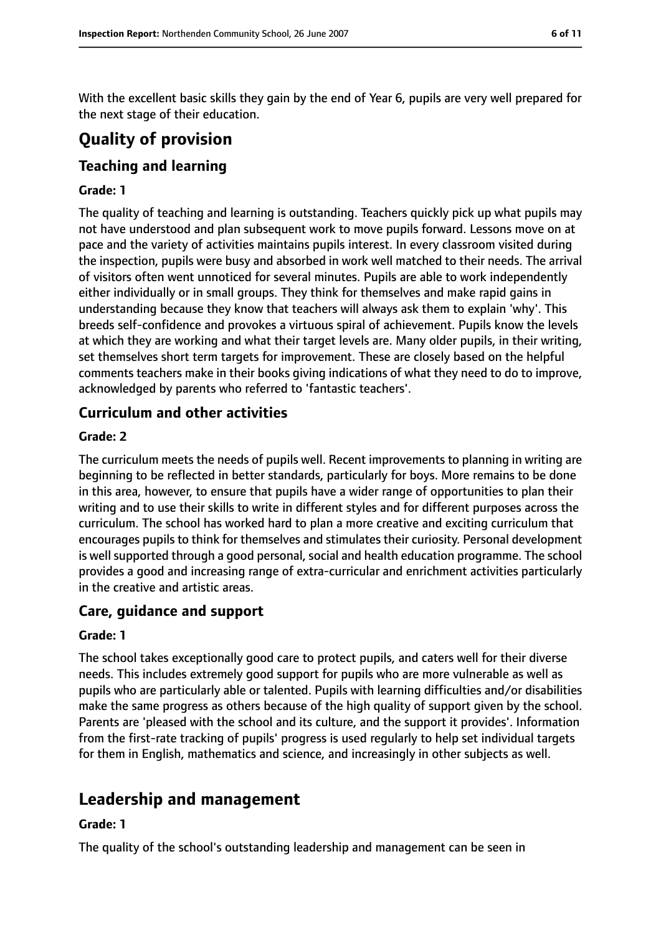With the excellent basic skills they gain by the end of Year 6, pupils are very well prepared for the next stage of their education.

# **Quality of provision**

## **Teaching and learning**

#### **Grade: 1**

The quality of teaching and learning is outstanding. Teachers quickly pick up what pupils may not have understood and plan subsequent work to move pupils forward. Lessons move on at pace and the variety of activities maintains pupils interest. In every classroom visited during the inspection, pupils were busy and absorbed in work well matched to their needs. The arrival of visitors often went unnoticed for several minutes. Pupils are able to work independently either individually or in small groups. They think for themselves and make rapid gains in understanding because they know that teachers will always ask them to explain 'why'. This breeds self-confidence and provokes a virtuous spiral of achievement. Pupils know the levels at which they are working and what their target levels are. Many older pupils, in their writing, set themselves short term targets for improvement. These are closely based on the helpful comments teachers make in their books giving indications of what they need to do to improve, acknowledged by parents who referred to 'fantastic teachers'.

## **Curriculum and other activities**

#### **Grade: 2**

The curriculum meets the needs of pupils well. Recent improvements to planning in writing are beginning to be reflected in better standards, particularly for boys. More remains to be done in this area, however, to ensure that pupils have a wider range of opportunities to plan their writing and to use their skills to write in different styles and for different purposes across the curriculum. The school has worked hard to plan a more creative and exciting curriculum that encourages pupils to think for themselves and stimulates their curiosity. Personal development is well supported through a good personal, social and health education programme. The school provides a good and increasing range of extra-curricular and enrichment activities particularly in the creative and artistic areas.

#### **Care, guidance and support**

#### **Grade: 1**

The school takes exceptionally good care to protect pupils, and caters well for their diverse needs. This includes extremely good support for pupils who are more vulnerable as well as pupils who are particularly able or talented. Pupils with learning difficulties and/or disabilities make the same progress as others because of the high quality of support given by the school. Parents are 'pleased with the school and its culture, and the support it provides'. Information from the first-rate tracking of pupils' progress is used regularly to help set individual targets for them in English, mathematics and science, and increasingly in other subjects as well.

## **Leadership and management**

#### **Grade: 1**

The quality of the school's outstanding leadership and management can be seen in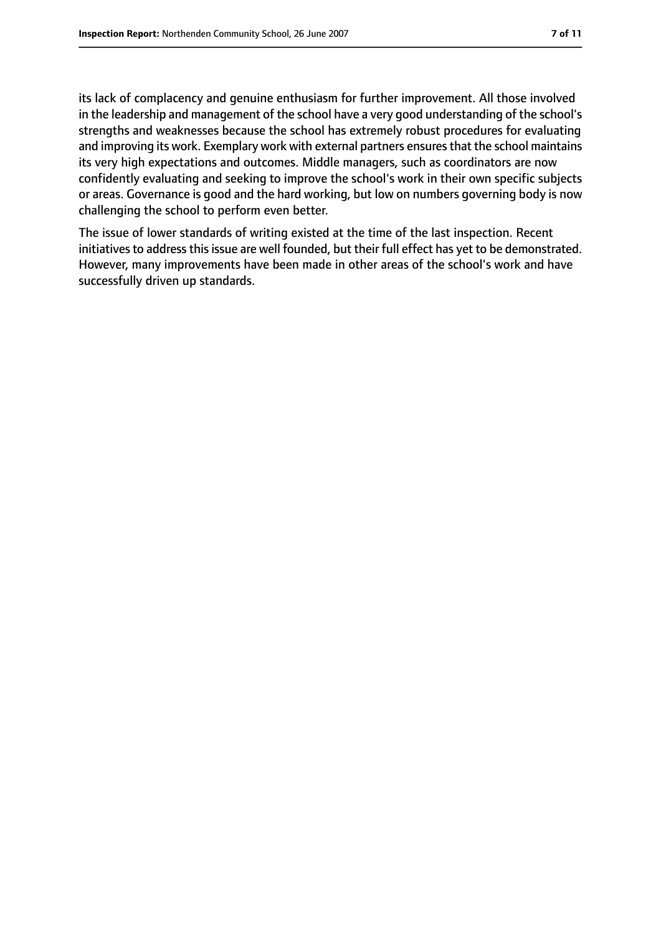its lack of complacency and genuine enthusiasm for further improvement. All those involved in the leadership and management of the school have a very good understanding of the school's strengths and weaknesses because the school has extremely robust procedures for evaluating and improving its work. Exemplary work with external partners ensures that the school maintains its very high expectations and outcomes. Middle managers, such as coordinators are now confidently evaluating and seeking to improve the school's work in their own specific subjects or areas. Governance is good and the hard working, but low on numbers governing body is now challenging the school to perform even better.

The issue of lower standards of writing existed at the time of the last inspection. Recent initiatives to address this issue are well founded, but their full effect has yet to be demonstrated. However, many improvements have been made in other areas of the school's work and have successfully driven up standards.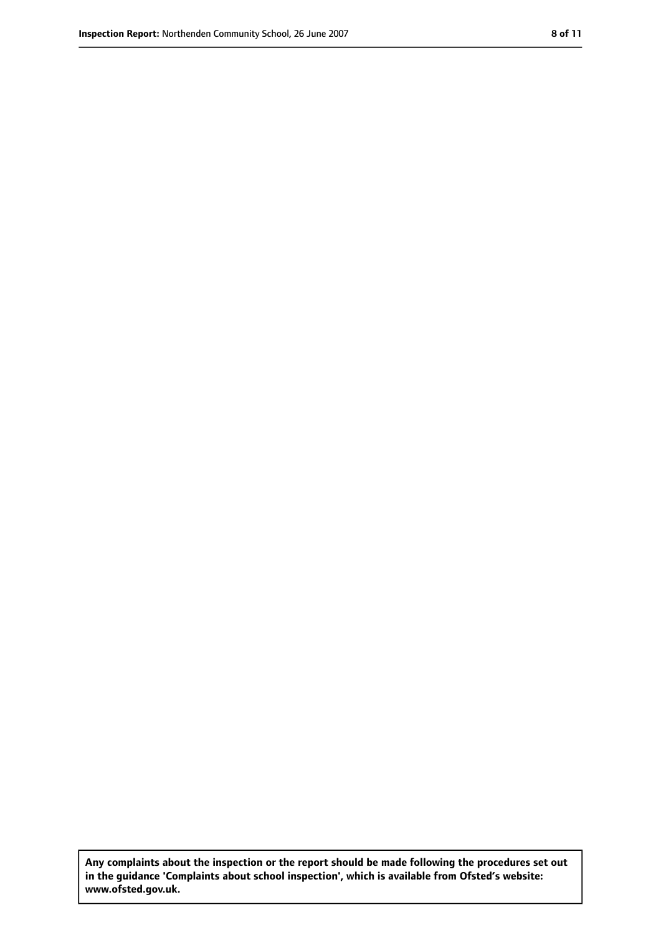**Any complaints about the inspection or the report should be made following the procedures set out in the guidance 'Complaints about school inspection', which is available from Ofsted's website: www.ofsted.gov.uk.**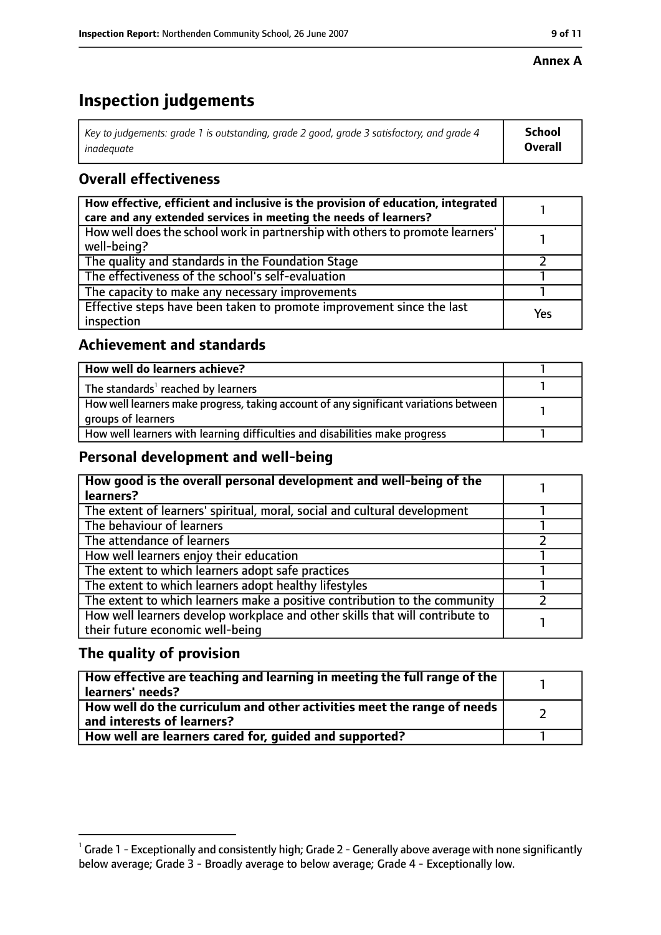#### **Annex A**

# **Inspection judgements**

| Key to judgements: grade 1 is outstanding, grade 2 good, grade 3 satisfactory, and grade 4 | School         |
|--------------------------------------------------------------------------------------------|----------------|
| inadeguate                                                                                 | <b>Overall</b> |

## **Overall effectiveness**

| How effective, efficient and inclusive is the provision of education, integrated<br>care and any extended services in meeting the needs of learners? |     |
|------------------------------------------------------------------------------------------------------------------------------------------------------|-----|
| How well does the school work in partnership with others to promote learners'<br>well-being?                                                         |     |
| The quality and standards in the Foundation Stage                                                                                                    |     |
| The effectiveness of the school's self-evaluation                                                                                                    |     |
| The capacity to make any necessary improvements                                                                                                      |     |
| Effective steps have been taken to promote improvement since the last<br>inspection                                                                  | Yes |

## **Achievement and standards**

| How well do learners achieve?                                                                               |  |
|-------------------------------------------------------------------------------------------------------------|--|
| The standards <sup>1</sup> reached by learners                                                              |  |
| How well learners make progress, taking account of any significant variations between<br>groups of learners |  |
| How well learners with learning difficulties and disabilities make progress                                 |  |

#### **Personal development and well-being**

| How good is the overall personal development and well-being of the<br>learners? |  |
|---------------------------------------------------------------------------------|--|
|                                                                                 |  |
| The extent of learners' spiritual, moral, social and cultural development       |  |
| The behaviour of learners                                                       |  |
| The attendance of learners                                                      |  |
| How well learners enjoy their education                                         |  |
| The extent to which learners adopt safe practices                               |  |
| The extent to which learners adopt healthy lifestyles                           |  |
| The extent to which learners make a positive contribution to the community      |  |
| How well learners develop workplace and other skills that will contribute to    |  |
| their future economic well-being                                                |  |

#### **The quality of provision**

| How effective are teaching and learning in meeting the full range of the<br>learners' needs?          |  |
|-------------------------------------------------------------------------------------------------------|--|
| How well do the curriculum and other activities meet the range of needs<br>and interests of learners? |  |
| How well are learners cared for, quided and supported?                                                |  |

 $^1$  Grade 1 - Exceptionally and consistently high; Grade 2 - Generally above average with none significantly below average; Grade 3 - Broadly average to below average; Grade 4 - Exceptionally low.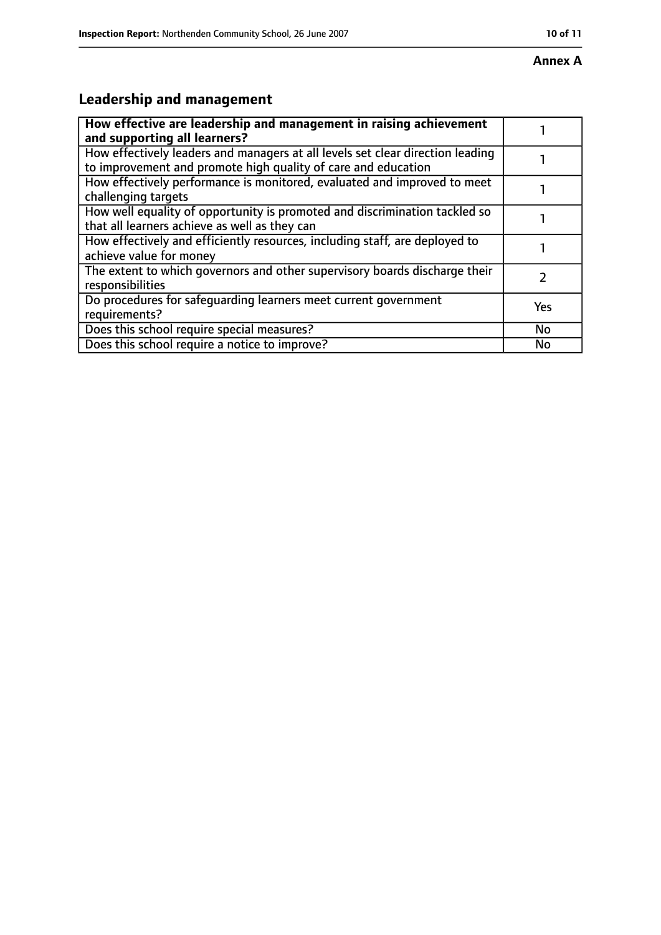# **Leadership and management**

| How effective are leadership and management in raising achievement<br>and supporting all learners?                                              |           |
|-------------------------------------------------------------------------------------------------------------------------------------------------|-----------|
| How effectively leaders and managers at all levels set clear direction leading<br>to improvement and promote high quality of care and education |           |
| How effectively performance is monitored, evaluated and improved to meet<br>challenging targets                                                 |           |
| How well equality of opportunity is promoted and discrimination tackled so<br>that all learners achieve as well as they can                     |           |
| How effectively and efficiently resources, including staff, are deployed to<br>achieve value for money                                          |           |
| The extent to which governors and other supervisory boards discharge their<br>responsibilities                                                  |           |
| Do procedures for safeguarding learners meet current government<br>requirements?                                                                | Yes       |
| Does this school require special measures?                                                                                                      | <b>No</b> |
| Does this school require a notice to improve?                                                                                                   | No        |